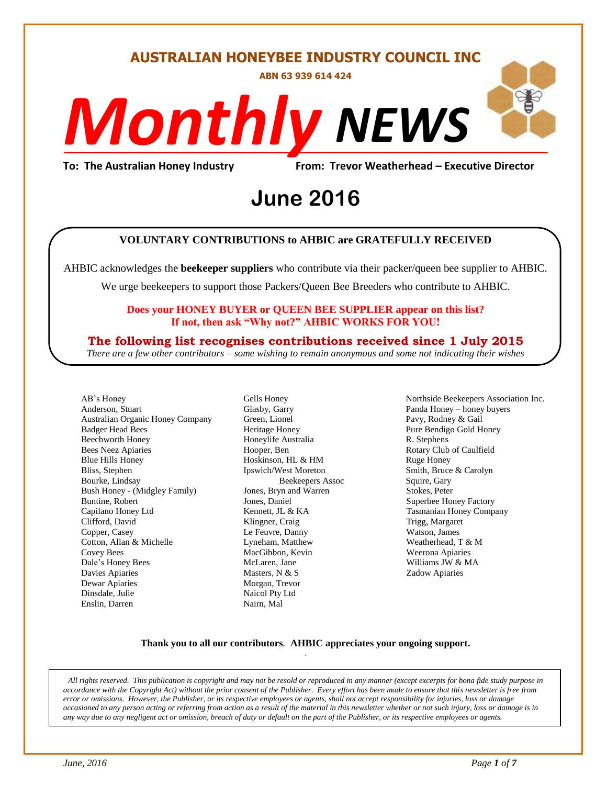#### **AUSTRALIAN HONEYBEE INDUSTRY COUNCIL INC**

**ABN 63 939 614 424**

# *NEWS Monthly*

**To: The Australian Honey Industry From: Trevor Weatherhead – Executive Director**

# From: Trevor Weathe<br>**June 2016**

#### **VOLUNTARY CONTRIBUTIONS to AHBIC are GRATEFULLY RECEIVED**

AHBIC acknowledges the **beekeeper suppliers** who contribute via their packer/queen bee supplier to AHBIC.

We urge beekeepers to support those Packers/Queen Bee Breeders who contribute to AHBIC.

#### **Does your HONEY BUYER or QUEEN BEE SUPPLIER appear on this list? If not, then ask "Why not?" AHBIC WORKS FOR YOU!**

#### **The following list recognises contributions received since 1 July 2015**

*There are a few other contributors – some wishing to remain anonymous and some not indicating their wishes*

AB's Honey Anderson, Stuart Australian Organic Honey Company Badger Head Bees Beechworth Honey Bees Neez Apiaries Blue Hills Honey Bliss, Stephen Bourke, Lindsay Bush Honey - (Midgley Family) Buntine, Robert Capilano Honey Ltd Clifford, David Copper, Casey Cotton, Allan & Michelle Covey Bees Dale's Honey Bees Davies Apiaries Dewar Apiaries Dinsdale, Julie Enslin, Darren

Gells Honey Glasby, Garry Green, Lionel Heritage Honey Honeylife Australia Hooper, Ben Hoskinson, HL & HM Ipswich/West Moreton Beekeepers Assoc Jones, Bryn and Warren Jones, Daniel Kennett, JL & KA Klingner, Craig Le Feuvre, Danny Lyneham, Matthew MacGibbon, Kevin McLaren, Jane Masters, N & S Morgan, Trevor Naicol Pty Ltd Nairn, Mal

Northside Beekeepers Association Inc. Panda Honey – honey buyers Pavy, Rodney & Gail Pure Bendigo Gold Honey R. Stephens Rotary Club of Caulfield Ruge Honey Smith, Bruce & Carolyn Squire, Gary Stokes, Peter Superbee Honey Factory Tasmanian Honey Company Trigg, Margaret Watson, James Weatherhead, T & M Weerona Apiaries Williams JW & MA Zadow Apiaries

#### **Thank you to all our contributors***.* **AHBIC appreciates your ongoing support.** .

*All rights reserved. This publication is copyright and may not be resold or reproduced in any manner (except excerpts for bona fide study purpose in accordance with the Copyright Act) without the prior consent of the Publisher. Every effort has been made to ensure that this newsletter is free from error or omissions. However, the Publisher, or its respective employees or agents, shall not accept responsibility for injuries, loss or damage occasioned to any person acting or referring from action as a result of the material in this newsletter whether or not such injury, loss or damage is in any way due to any negligent act or omission, breach of duty or default on the part of the Publisher, or its respective employees or agents.*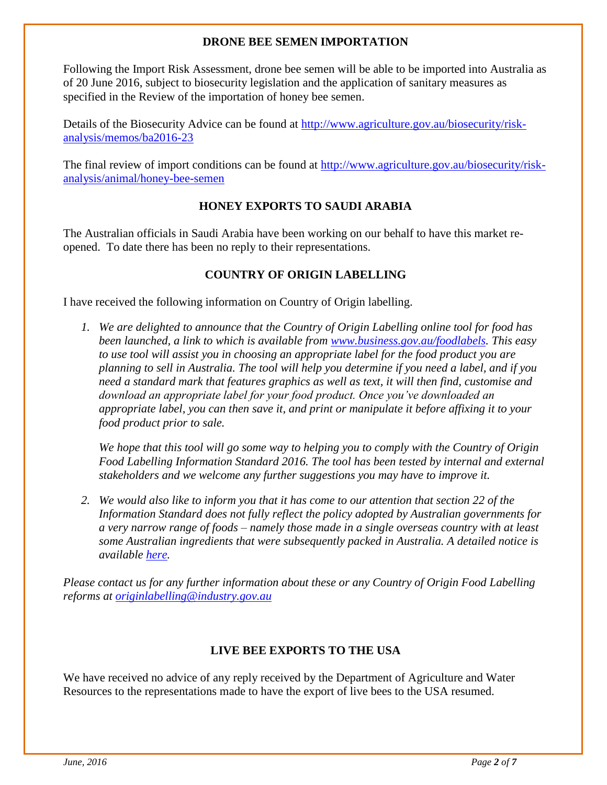#### **DRONE BEE SEMEN IMPORTATION**

Following the Import Risk Assessment, drone bee semen will be able to be imported into Australia as of 20 June 2016, subject to biosecurity legislation and the application of sanitary measures as specified in the Review of the importation of honey bee semen.

Details of the Biosecurity Advice can be found at [http://www.agriculture.gov.au/biosecurity/risk](http://www.agriculture.gov.au/biosecurity/risk-analysis/memos/ba2016-23)[analysis/memos/ba2016-23](http://www.agriculture.gov.au/biosecurity/risk-analysis/memos/ba2016-23)

The final review of import conditions can be found at [http://www.agriculture.gov.au/biosecurity/risk](http://www.agriculture.gov.au/biosecurity/risk-analysis/animal/honey-bee-semen)[analysis/animal/honey-bee-semen](http://www.agriculture.gov.au/biosecurity/risk-analysis/animal/honey-bee-semen)

#### **HONEY EXPORTS TO SAUDI ARABIA**

The Australian officials in Saudi Arabia have been working on our behalf to have this market reopened. To date there has been no reply to their representations.

#### **COUNTRY OF ORIGIN LABELLING**

I have received the following information on Country of Origin labelling.

*1. We are delighted to announce that the Country of Origin Labelling online tool for food has been launched, a link to which is available from [www.business.gov.au/foodlabels.](http://www.business.gov.au/foodlabels) This easy to use tool will assist you in choosing an appropriate label for the food product you are planning to sell in Australia. The tool will help you determine if you need a label, and if you need a standard mark that features graphics as well as text, it will then find, customise and download an appropriate label for your food product. Once you've downloaded an appropriate label, you can then save it, and print or manipulate it before affixing it to your food product prior to sale.*

*We hope that this tool will go some way to helping you to comply with the Country of Origin Food Labelling Information Standard 2016. The tool has been tested by internal and external stakeholders and we welcome any further suggestions you may have to improve it.*

*2. We would also like to inform you that it has come to our attention that section 22 of the Information Standard does not fully reflect the policy adopted by Australian governments for a very narrow range of foods – namely those made in a single overseas country with at least some Australian ingredients that were subsequently packed in Australia. A detailed notice is available [here.](http://www.industry.gov.au/industry/IndustrySectors/FoodManufacturingIndustry/Documents/Country-of-Origin-Food-Labelling-Update.pdf)* 

*Please contact us for any further information about these or any Country of Origin Food Labelling reforms at [originlabelling@industry.gov.au](mailto:originlabelling@industry.gov.au)*

#### **LIVE BEE EXPORTS TO THE USA**

We have received no advice of any reply received by the Department of Agriculture and Water Resources to the representations made to have the export of live bees to the USA resumed.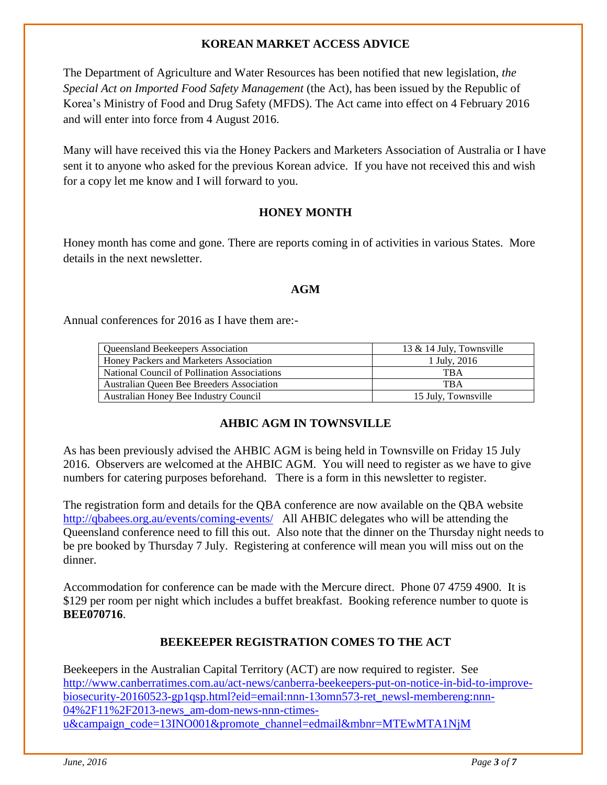#### **KOREAN MARKET ACCESS ADVICE**

The Department of Agriculture and Water Resources has been notified that new legislation, *the Special Act on Imported Food Safety Management* (the Act), has been issued by the Republic of Korea's Ministry of Food and Drug Safety (MFDS). The Act came into effect on 4 February 2016 and will enter into force from 4 August 2016.

Many will have received this via the Honey Packers and Marketers Association of Australia or I have sent it to anyone who asked for the previous Korean advice. If you have not received this and wish for a copy let me know and I will forward to you.

#### **HONEY MONTH**

Honey month has come and gone. There are reports coming in of activities in various States. More details in the next newsletter.

#### **AGM**

Annual conferences for 2016 as I have them are:-

| <b>Queensland Beekeepers Association</b>     | 13 & 14 July, Townsville |
|----------------------------------------------|--------------------------|
| Honey Packers and Marketers Association      | 1 July, 2016             |
| National Council of Pollination Associations | TB A                     |
| Australian Queen Bee Breeders Association    | <b>TBA</b>               |
| Australian Honey Bee Industry Council        | 15 July, Townsville      |

#### **AHBIC AGM IN TOWNSVILLE**

As has been previously advised the AHBIC AGM is being held in Townsville on Friday 15 July 2016. Observers are welcomed at the AHBIC AGM. You will need to register as we have to give numbers for catering purposes beforehand. There is a form in this newsletter to register.

The registration form and details for the QBA conference are now available on the QBA website <http://qbabees.org.au/events/coming-events/> All AHBIC delegates who will be attending the Queensland conference need to fill this out. Also note that the dinner on the Thursday night needs to be pre booked by Thursday 7 July. Registering at conference will mean you will miss out on the dinner.

Accommodation for conference can be made with the Mercure direct. Phone 07 4759 4900. It is \$129 per room per night which includes a buffet breakfast. Booking reference number to quote is **BEE070716**.

#### **BEEKEEPER REGISTRATION COMES TO THE ACT**

Beekeepers in the Australian Capital Territory (ACT) are now required to register. See [http://www.canberratimes.com.au/act-news/canberra-beekeepers-put-on-notice-in-bid-to-improve](http://www.canberratimes.com.au/act-news/canberra-beekeepers-put-on-notice-in-bid-to-improve-biosecurity-20160523-gp1qsp.html?eid=email:nnn-13omn573-ret_newsl-membereng:nnn-04%2F11%2F2013-news_am-dom-news-nnn-ctimes-u&campaign_code=13INO001&promote_channel=edmail&mbnr=MTEwMTA1NjM)[biosecurity-20160523-gp1qsp.html?eid=email:nnn-13omn573-ret\\_newsl-membereng:nnn-](http://www.canberratimes.com.au/act-news/canberra-beekeepers-put-on-notice-in-bid-to-improve-biosecurity-20160523-gp1qsp.html?eid=email:nnn-13omn573-ret_newsl-membereng:nnn-04%2F11%2F2013-news_am-dom-news-nnn-ctimes-u&campaign_code=13INO001&promote_channel=edmail&mbnr=MTEwMTA1NjM)[04%2F11%2F2013-news\\_am-dom-news-nnn-ctimes](http://www.canberratimes.com.au/act-news/canberra-beekeepers-put-on-notice-in-bid-to-improve-biosecurity-20160523-gp1qsp.html?eid=email:nnn-13omn573-ret_newsl-membereng:nnn-04%2F11%2F2013-news_am-dom-news-nnn-ctimes-u&campaign_code=13INO001&promote_channel=edmail&mbnr=MTEwMTA1NjM)[u&campaign\\_code=13INO001&promote\\_channel=edmail&mbnr=MTEwMTA1NjM](http://www.canberratimes.com.au/act-news/canberra-beekeepers-put-on-notice-in-bid-to-improve-biosecurity-20160523-gp1qsp.html?eid=email:nnn-13omn573-ret_newsl-membereng:nnn-04%2F11%2F2013-news_am-dom-news-nnn-ctimes-u&campaign_code=13INO001&promote_channel=edmail&mbnr=MTEwMTA1NjM)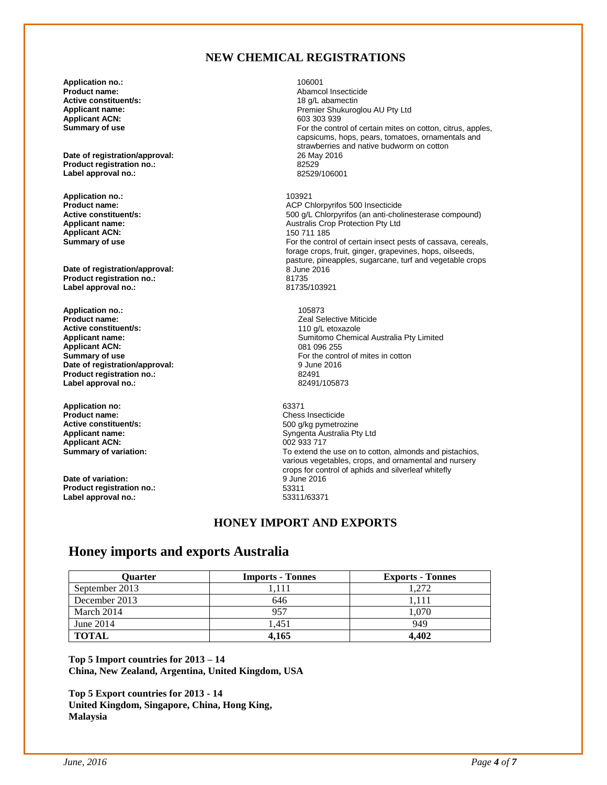#### **NEW CHEMICAL REGISTRATIONS**

**Application no.:** 106001 **Active constituent/s:**<br>Applicant name: **Applicant ACN:**<br>Summary of use

**Date of registration/approval:** 26 May 2016 **Product registration no.:** 82529 **Label approval no.:** 

**Application no.:** 103921 **Applicant ACN:**<br>Summary of use

**Date of registration/approval:** 8 June 2016<br> **Product registration no:** 81735 **Product registration no.:** 81735 **Label approval no.:** 

**Application no.:** 105873 **Active constituent/s:**<br>Applicant name: **Applicant ACN:**<br>Summary of use **Date of registration/approval: Product registration no.:** 82491 Label approval no.:

**Application no:** 63371 **Active constituent/s:**<br>Applicant name: **Applicant ACN:** 002 933 717<br> **Summary of variation:** 002 933 717<br>
To extend the

**Date of variation:** 9 June 2016<br> **Product registration no.:** 53311 **Product registration no.:** 53311<br> **Label approval no.:** 53311/63371 Label approval no.:

Abamcol Insecticide<br>18 a/L abamectin Premier Shukuroglou AU Pty Ltd<br>603 303 939 For the control of certain mites on cotton, citrus, apples, capsicums, hops, pears, tomatoes, ornamentals and strawberries and native budworm on cotton 26 May 2016

**Product name:**<br> **ACP** Chlorpyrifos 500 Insecticide<br> **Active constituent/s:**<br>
Active constituent/s:<br>
Active constituent/s: **Active constituent/s:** <br>**Applicant name: Applicant name: Applicant name: Applicant name: Applicant name: Applicant name: Applicant name: Applicant name: Applicant name: Applicant name: Applicant name:** Australis Crop Protection Pty Ltd<br>150 711 185 For the control of certain insect pests of cassava, cereals, forage crops, fruit, ginger, grapevines, hops, oilseeds, pasture, pineapples, sugarcane, turf and vegetable crops

> Zeal Selective Miticide<br>110 g/L etoxazole Sumitomo Chemical Australia Pty Limited<br>081 096 255 For the control of mites in cotton<br>9 June 2016

**Product Chess Insecticide**<br>500 g/kg pymetrozine **Syngenta Australia Pty Ltd** To extend the use on to cotton, almonds and pistachios, various vegetables, crops, and ornamental and nursery crops for control of aphids and silverleaf whitefly

#### **HONEY IMPORT AND EXPORTS**

#### **Honey imports and exports Australia**

| Ouarter        | <b>Imports - Tonnes</b> | <b>Exports - Tonnes</b> |
|----------------|-------------------------|-------------------------|
| September 2013 | 1.111                   | 1.272                   |
| December 2013  | 646                     | 1.111                   |
| March 2014     | 957                     | 1.070                   |
| June 2014      | 1.451                   | 949                     |
| <b>TOTAL</b>   | 4.165                   | 4.402                   |

**Top 5 Import countries for 2013 – 14 China, New Zealand, Argentina, United Kingdom, USA**

**Top 5 Export countries for 2013 - 14 United Kingdom, Singapore, China, Hong King, Malaysia**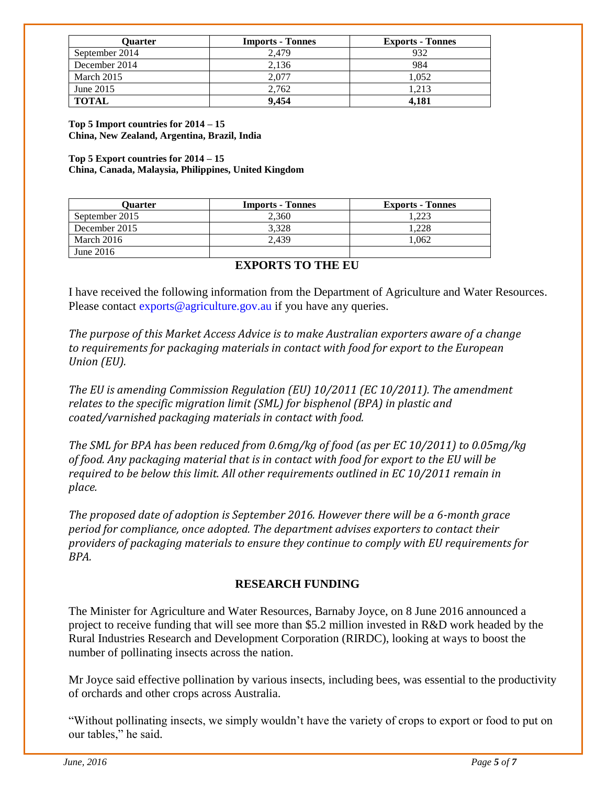| Ouarter        | <b>Imports - Tonnes</b> | <b>Exports - Tonnes</b> |
|----------------|-------------------------|-------------------------|
| September 2014 | 2.479                   | 932                     |
| December 2014  | 2.136                   | 984                     |
| March 2015     | 2.077                   | 1.052                   |
| June 2015      | 2.762                   | 1.213                   |
| <b>TOTAL</b>   | 9.454                   | 4.181                   |

**Top 5 Import countries for 2014 – 15 China, New Zealand, Argentina, Brazil, India**

**Top 5 Export countries for 2014 – 15 China, Canada, Malaysia, Philippines, United Kingdom**

| Ouarter        | <b>Imports - Tonnes</b> | <b>Exports - Tonnes</b> |
|----------------|-------------------------|-------------------------|
| September 2015 | 2.360                   | .223                    |
| December 2015  | 3.328                   | .228                    |
| March 2016     | 2.439                   | .062                    |
| June $2016$    |                         |                         |

#### **EXPORTS TO THE EU**

I have received the following information from the Department of Agriculture and Water Resources. Please contact exports@agriculture.gov.au if you have any queries.

*The purpose of this Market Access Advice is to make Australian exporters aware of a change to requirements for packaging materials in contact with food for export to the European Union (EU).*

*The EU is amending Commission Regulation (EU) 10/2011 (EC 10/2011). The amendment relates to the specific migration limit (SML) for bisphenol (BPA) in plastic and coated/varnished packaging materials in contact with food.*

*The SML for BPA has been reduced from 0.6mg/kg of food (as per EC 10/2011) to 0.05mg/kg of food. Any packaging material that is in contact with food for export to the EU will be required to be below this limit. All other requirements outlined in EC 10/2011 remain in place.*

*The proposed date of adoption is September 2016. However there will be a 6-month grace period for compliance, once adopted. The department advises exporters to contact their providers of packaging materials to ensure they continue to comply with EU requirements for BPA.*

#### **RESEARCH FUNDING**

The Minister for Agriculture and Water Resources, Barnaby Joyce, on 8 June 2016 announced a project to receive funding that will see more than \$5.2 million invested in R&D work headed by the Rural Industries Research and Development Corporation (RIRDC), looking at ways to boost the number of pollinating insects across the nation.

Mr Joyce said effective pollination by various insects, including bees, was essential to the productivity of orchards and other crops across Australia.

"Without pollinating insects, we simply wouldn't have the variety of crops to export or food to put on our tables," he said.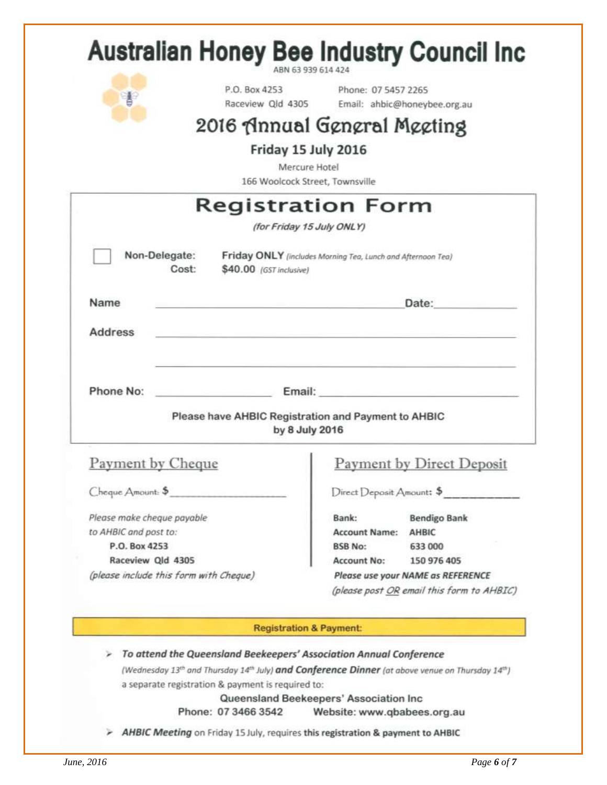| ¥                                      | P.O. Box 4253<br>Raceview Qld 4305                                                              | Phone: 07 5457 2265       | Email: ahbic@honeybee.org.au                                                                                                                                                                                                   |
|----------------------------------------|-------------------------------------------------------------------------------------------------|---------------------------|--------------------------------------------------------------------------------------------------------------------------------------------------------------------------------------------------------------------------------|
|                                        | 2016 Annual General Meeting                                                                     |                           |                                                                                                                                                                                                                                |
|                                        |                                                                                                 |                           |                                                                                                                                                                                                                                |
|                                        | Friday 15 July 2016<br>Mercure Hotel                                                            |                           |                                                                                                                                                                                                                                |
|                                        | 166 Woolcock Street, Townsville                                                                 |                           |                                                                                                                                                                                                                                |
|                                        | Registration Form                                                                               |                           |                                                                                                                                                                                                                                |
|                                        | (for Friday 15 July ONLY)                                                                       |                           |                                                                                                                                                                                                                                |
|                                        |                                                                                                 |                           |                                                                                                                                                                                                                                |
| Non-Delegate:<br>Cost:                 | Friday ONLY (includes Morning Tea, Lunch and Afternoon Tea)<br>\$40.00 (GST inclusive)          |                           |                                                                                                                                                                                                                                |
| Name                                   |                                                                                                 |                           | Date:                                                                                                                                                                                                                          |
|                                        |                                                                                                 |                           |                                                                                                                                                                                                                                |
|                                        |                                                                                                 |                           |                                                                                                                                                                                                                                |
| <b>Address</b>                         |                                                                                                 |                           |                                                                                                                                                                                                                                |
|                                        |                                                                                                 |                           |                                                                                                                                                                                                                                |
|                                        |                                                                                                 |                           |                                                                                                                                                                                                                                |
| Phone No:                              |                                                                                                 |                           | Email: Email: The Company of the Company of the Company of the Company of the Company of the Company of the Company of the Company of the Company of the Company of the Company of the Company of the Company of the Company o |
|                                        | Please have AHBIC Registration and Payment to AHBIC                                             |                           |                                                                                                                                                                                                                                |
|                                        | by 8 July 2016                                                                                  |                           |                                                                                                                                                                                                                                |
|                                        |                                                                                                 |                           |                                                                                                                                                                                                                                |
| Payment by Cheque                      |                                                                                                 |                           |                                                                                                                                                                                                                                |
| Cheque Amount: \$                      |                                                                                                 | Direct Deposit Amount: \$ | <b>Payment by Direct Deposit</b>                                                                                                                                                                                               |
| Please make cheque payable             |                                                                                                 | Bank:                     | <b>Bendigo Bank</b>                                                                                                                                                                                                            |
| to AHBIC and post to:                  |                                                                                                 | Account Name: AHBIC       |                                                                                                                                                                                                                                |
| P.O. Box 4253                          |                                                                                                 | <b>BSB No:</b>            | 633 000                                                                                                                                                                                                                        |
| Raceview Qld 4305                      |                                                                                                 | <b>Account No:</b>        | 150 976 405                                                                                                                                                                                                                    |
| (please include this form with Cheque) |                                                                                                 |                           | Please use your NAME as REFERENCE                                                                                                                                                                                              |
|                                        |                                                                                                 |                           |                                                                                                                                                                                                                                |
|                                        |                                                                                                 |                           |                                                                                                                                                                                                                                |
|                                        | <b>Registration &amp; Payment:</b>                                                              |                           |                                                                                                                                                                                                                                |
|                                        |                                                                                                 |                           |                                                                                                                                                                                                                                |
|                                        | To attend the Queensland Beekeepers' Association Annual Conference                              |                           |                                                                                                                                                                                                                                |
|                                        | (Wednesday 13th and Thursday 14th July) and Conference Dinner (at above venue on Thursday 14th) |                           | (please post OR email this form to AHBIC)                                                                                                                                                                                      |
|                                        | a separate registration & payment is required to:<br>Queensland Beekeepers' Association Inc     |                           |                                                                                                                                                                                                                                |